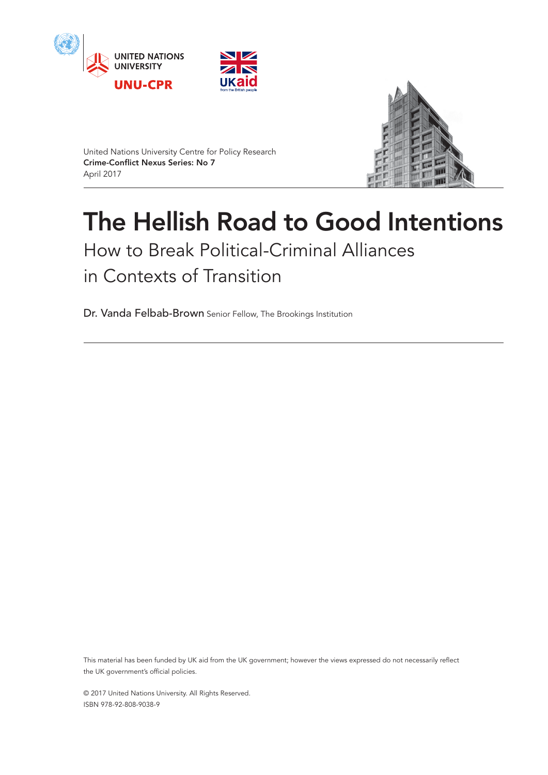





United Nations University Centre for Policy Research Crime-Conflict Nexus Series: No 7 April 2017

# The Hellish Road to Good Intentions

# How to Break Political-Criminal Alliances in Contexts of Transition

Dr. Vanda Felbab-Brown Senior Fellow, The Brookings Institution

This material has been funded by UK aid from the UK government; however the views expressed do not necessarily reflect the UK government's official policies.

© 2017 United Nations University. All Rights Reserved. ISBN 978-92-808-9038-9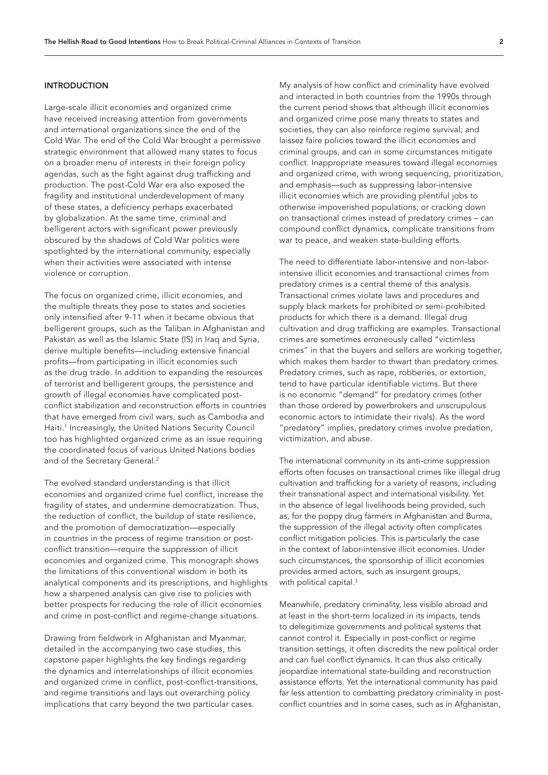## INTRODUCTION

Large-scale illicit economies and organized crime have received increasing attention from governments and international organizations since the end of the Cold War. The end of the Cold War brought a permissive strategic environment that allowed many states to focus on a broader menu of interests in their foreign policy agendas, such as the fight against drug trafficking and production. The post-Cold War era also exposed the fragility and institutional underdevelopment of many of these states, a deficiency perhaps exacerbated by globalization. At the same time, criminal and belligerent actors with significant power previously obscured by the shadows of Cold War politics were spotlighted by the international community, especially when their activities were associated with intense violence or corruption.

The focus on organized crime, illicit economies, and the multiple threats they pose to states and societies only intensified after 9-11 when it became obvious that belligerent groups, such as the Taliban in Afghanistan and Pakistan as well as the Islamic State (IS) in Iraq and Syria, derive multiple benefits—including extensive financial profits—from participating in illicit economies such as the drug trade. In addition to expanding the resources of terrorist and belligerent groups, the persistence and growth of illegal economies have complicated postconflict stabilization and reconstruction efforts in countries that have emerged from civil wars, such as Cambodia and Haiti.[1](#page-8-0) Increasingly, the United Nations Security Council too has highlighted organized crime as an issue requiring the coordinated focus of various United Nations bodies and of the Secretary General.<sup>[2](#page-8-1)</sup>

The evolved standard understanding is that illicit economies and organized crime fuel conflict, increase the fragility of states, and undermine democratization. Thus, the reduction of conflict, the buildup of state resilience, and the promotion of democratization—especially in countries in the process of regime transition or postconflict transition—require the suppression of illicit economies and organized crime. This monograph shows the limitations of this conventional wisdom in both its analytical components and its prescriptions, and highlights how a sharpened analysis can give rise to policies with better prospects for reducing the role of illicit economies and crime in post-conflict and regime-change situations.

Drawing from fieldwork in Afghanistan and Myanmar, detailed in the accompanying two case studies, this capstone paper highlights the key findings regarding the dynamics and interrelationships of illicit economies and organized crime in conflict, post-conflict-transitions, and regime transitions and lays out overarching policy implications that carry beyond the two particular cases.

My analysis of how conflict and criminality have evolved and interacted in both countries from the 1990s through the current period shows that although illicit economies and organized crime pose many threats to states and societies, they can also reinforce regime survival; and laissez faire policies toward the illicit economies and criminal groups, and can in some circumstances mitigate conflict. Inappropriate measures toward illegal economies and organized crime, with wrong sequencing, prioritization, and emphasis—such as suppressing labor-intensive illicit economies which are providing plentiful jobs to otherwise impoverished populations; or cracking down on transactional crimes instead of predatory crimes – can compound conflict dynamics, complicate transitions from war to peace, and weaken state-building efforts.

The need to differentiate labor-intensive and non-laborintensive illicit economies and transactional crimes from predatory crimes is a central theme of this analysis. Transactional crimes violate laws and procedures and supply black markets for prohibited or semi-prohibited products for which there is a demand. Illegal drug cultivation and drug trafficking are examples. Transactional crimes are sometimes erroneously called "victimless crimes" in that the buyers and sellers are working together, which makes them harder to thwart than predatory crimes. Predatory crimes, such as rape, robberies, or extortion, tend to have particular identifiable victims. But there is no economic "demand" for predatory crimes (other than those ordered by powerbrokers and unscrupulous economic actors to intimidate their rivals). As the word "predatory" implies, predatory crimes involve predation, victimization, and abuse.

The international community in its anti-crime suppression efforts often focuses on transactional crimes like illegal drug cultivation and trafficking for a variety of reasons, including their transnational aspect and international visibility. Yet in the absence of legal livelihoods being provided, such as, for the poppy drug farmers in Afghanistan and Burma, the suppression of the illegal activity often complicates conflict mitigation policies. This is particularly the case in the context of labor-intensive illicit economies. Under such circumstances, the sponsorship of illicit economies provides armed actors, such as insurgent groups, with political capital.<sup>[3](#page-8-2)</sup>

Meanwhile, predatory criminality, less visible abroad and at least in the short-term localized in its impacts, tends to delegitimize governments and political systems that cannot control it. Especially in post-conflict or regime transition settings, it often discredits the new political order and can fuel conflict dynamics. It can thus also critically jeopardize international state-building and reconstruction assistance efforts. Yet the international community has paid far less attention to combatting predatory criminality in postconflict countries and in some cases, such as in Afghanistan,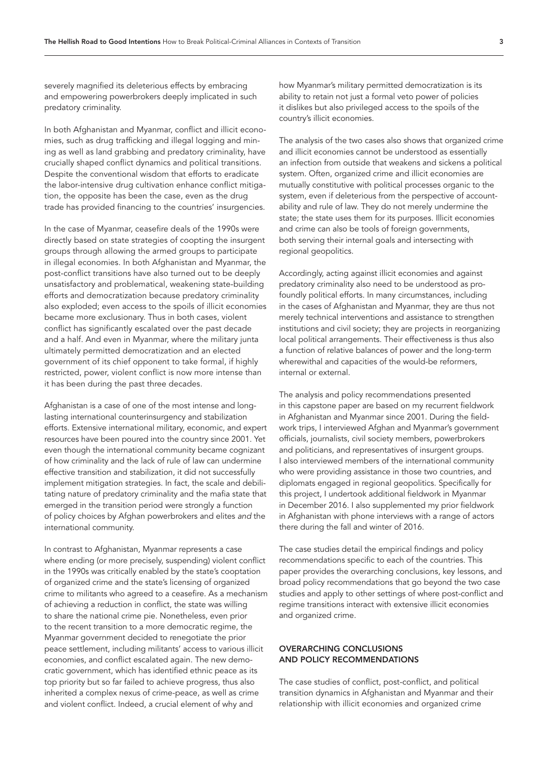severely magnified its deleterious effects by embracing and empowering powerbrokers deeply implicated in such predatory criminality.

In both Afghanistan and Myanmar, conflict and illicit economies, such as drug trafficking and illegal logging and mining as well as land grabbing and predatory criminality, have crucially shaped conflict dynamics and political transitions. Despite the conventional wisdom that efforts to eradicate the labor-intensive drug cultivation enhance conflict mitigation, the opposite has been the case, even as the drug trade has provided financing to the countries' insurgencies.

In the case of Myanmar, ceasefire deals of the 1990s were directly based on state strategies of coopting the insurgent groups through allowing the armed groups to participate in illegal economies. In both Afghanistan and Myanmar, the post-conflict transitions have also turned out to be deeply unsatisfactory and problematical, weakening state-building efforts and democratization because predatory criminality also exploded; even access to the spoils of illicit economies became more exclusionary. Thus in both cases, violent conflict has significantly escalated over the past decade and a half. And even in Myanmar, where the military junta ultimately permitted democratization and an elected government of its chief opponent to take formal, if highly restricted, power, violent conflict is now more intense than it has been during the past three decades.

Afghanistan is a case of one of the most intense and longlasting international counterinsurgency and stabilization efforts. Extensive international military, economic, and expert resources have been poured into the country since 2001. Yet even though the international community became cognizant of how criminality and the lack of rule of law can undermine effective transition and stabilization, it did not successfully implement mitigation strategies. In fact, the scale and debilitating nature of predatory criminality and the mafia state that emerged in the transition period were strongly a function of policy choices by Afghan powerbrokers and elites *and* the international community.

In contrast to Afghanistan, Myanmar represents a case where ending (or more precisely, suspending) violent conflict in the 1990s was critically enabled by the state's cooptation of organized crime and the state's licensing of organized crime to militants who agreed to a ceasefire. As a mechanism of achieving a reduction in conflict, the state was willing to share the national crime pie. Nonetheless, even prior to the recent transition to a more democratic regime, the Myanmar government decided to renegotiate the prior peace settlement, including militants' access to various illicit economies, and conflict escalated again. The new democratic government, which has identified ethnic peace as its top priority but so far failed to achieve progress, thus also inherited a complex nexus of crime-peace, as well as crime and violent conflict. Indeed, a crucial element of why and

how Myanmar's military permitted democratization is its ability to retain not just a formal veto power of policies it dislikes but also privileged access to the spoils of the country's illicit economies.

The analysis of the two cases also shows that organized crime and illicit economies cannot be understood as essentially an infection from outside that weakens and sickens a political system. Often, organized crime and illicit economies are mutually constitutive with political processes organic to the system, even if deleterious from the perspective of accountability and rule of law. They do not merely undermine the state; the state uses them for its purposes. Illicit economies and crime can also be tools of foreign governments, both serving their internal goals and intersecting with regional geopolitics.

Accordingly, acting against illicit economies and against predatory criminality also need to be understood as profoundly political efforts. In many circumstances, including in the cases of Afghanistan and Myanmar, they are thus not merely technical interventions and assistance to strengthen institutions and civil society; they are projects in reorganizing local political arrangements. Their effectiveness is thus also a function of relative balances of power and the long-term wherewithal and capacities of the would-be reformers, internal or external.

The analysis and policy recommendations presented in this capstone paper are based on my recurrent fieldwork in Afghanistan and Myanmar since 2001. During the fieldwork trips, I interviewed Afghan and Myanmar's government officials, journalists, civil society members, powerbrokers and politicians, and representatives of insurgent groups. I also interviewed members of the international community who were providing assistance in those two countries, and diplomats engaged in regional geopolitics. Specifically for this project, I undertook additional fieldwork in Myanmar in December 2016. I also supplemented my prior fieldwork in Afghanistan with phone interviews with a range of actors there during the fall and winter of 2016.

The case studies detail the empirical findings and policy recommendations specific to each of the countries. This paper provides the overarching conclusions, key lessons, and broad policy recommendations that go beyond the two case studies and apply to other settings of where post-conflict and regime transitions interact with extensive illicit economies and organized crime.

# OVERARCHING CONCLUSIONS AND POLICY RECOMMENDATIONS

The case studies of conflict, post-conflict, and political transition dynamics in Afghanistan and Myanmar and their relationship with illicit economies and organized crime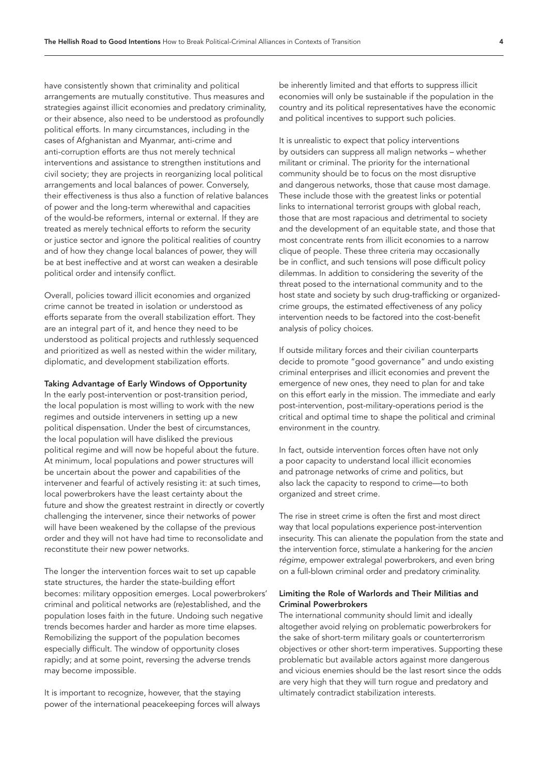have consistently shown that criminality and political arrangements are mutually constitutive. Thus measures and strategies against illicit economies and predatory criminality, or their absence, also need to be understood as profoundly political efforts. In many circumstances, including in the cases of Afghanistan and Myanmar, anti-crime and anti-corruption efforts are thus not merely technical interventions and assistance to strengthen institutions and civil society; they are projects in reorganizing local political arrangements and local balances of power. Conversely, their effectiveness is thus also a function of relative balances of power and the long-term wherewithal and capacities of the would-be reformers, internal or external. If they are treated as merely technical efforts to reform the security or justice sector and ignore the political realities of country and of how they change local balances of power, they will be at best ineffective and at worst can weaken a desirable political order and intensify conflict.

Overall, policies toward illicit economies and organized crime cannot be treated in isolation or understood as efforts separate from the overall stabilization effort. They are an integral part of it, and hence they need to be understood as political projects and ruthlessly sequenced and prioritized as well as nested within the wider military, diplomatic, and development stabilization efforts.

### Taking Advantage of Early Windows of Opportunity

In the early post-intervention or post-transition period, the local population is most willing to work with the new regimes and outside interveners in setting up a new political dispensation. Under the best of circumstances, the local population will have disliked the previous political regime and will now be hopeful about the future. At minimum, local populations and power structures will be uncertain about the power and capabilities of the intervener and fearful of actively resisting it: at such times, local powerbrokers have the least certainty about the future and show the greatest restraint in directly or covertly challenging the intervener, since their networks of power will have been weakened by the collapse of the previous order and they will not have had time to reconsolidate and reconstitute their new power networks.

The longer the intervention forces wait to set up capable state structures, the harder the state-building effort becomes: military opposition emerges. Local powerbrokers' criminal and political networks are (re)established, and the population loses faith in the future. Undoing such negative trends becomes harder and harder as more time elapses. Remobilizing the support of the population becomes especially difficult. The window of opportunity closes rapidly; and at some point, reversing the adverse trends may become impossible.

It is important to recognize, however, that the staying power of the international peacekeeping forces will always be inherently limited and that efforts to suppress illicit economies will only be sustainable if the population in the country and its political representatives have the economic and political incentives to support such policies.

It is unrealistic to expect that policy interventions by outsiders can suppress all malign networks – whether militant or criminal. The priority for the international community should be to focus on the most disruptive and dangerous networks, those that cause most damage. These include those with the greatest links or potential links to international terrorist groups with global reach, those that are most rapacious and detrimental to society and the development of an equitable state, and those that most concentrate rents from illicit economies to a narrow clique of people. These three criteria may occasionally be in conflict, and such tensions will pose difficult policy dilemmas. In addition to considering the severity of the threat posed to the international community and to the host state and society by such drug-trafficking or organizedcrime groups, the estimated effectiveness of any policy intervention needs to be factored into the cost-benefit analysis of policy choices.

If outside military forces and their civilian counterparts decide to promote "good governance" and undo existing criminal enterprises and illicit economies and prevent the emergence of new ones, they need to plan for and take on this effort early in the mission. The immediate and early post-intervention, post-military-operations period is the critical and optimal time to shape the political and criminal environment in the country.

In fact, outside intervention forces often have not only a poor capacity to understand local illicit economies and patronage networks of crime and politics, but also lack the capacity to respond to crime—to both organized and street crime.

The rise in street crime is often the first and most direct way that local populations experience post-intervention insecurity. This can alienate the population from the state and the intervention force, stimulate a hankering for the *ancien régime,* empower extralegal powerbrokers, and even bring on a full-blown criminal order and predatory criminality.

# Limiting the Role of Warlords and Their Militias and Criminal Powerbrokers

The international community should limit and ideally altogether avoid relying on problematic powerbrokers for the sake of short-term military goals or counterterrorism objectives or other short-term imperatives. Supporting these problematic but available actors against more dangerous and vicious enemies should be the last resort since the odds are very high that they will turn rogue and predatory and ultimately contradict stabilization interests.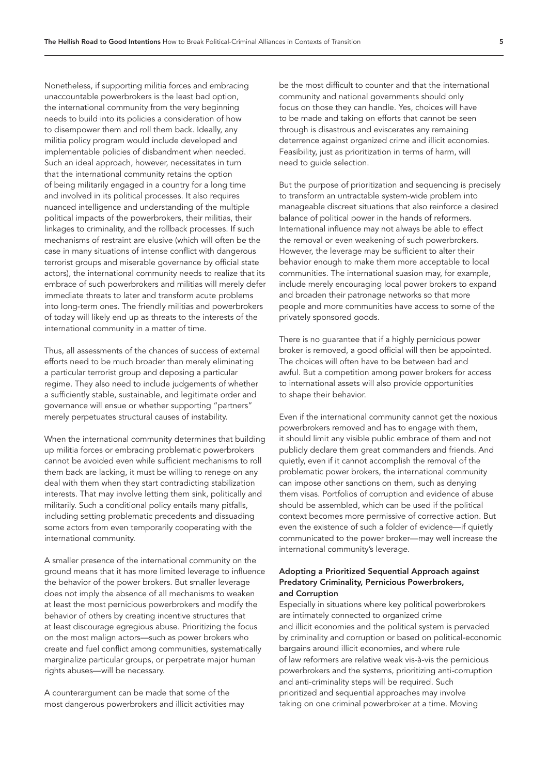Nonetheless, if supporting militia forces and embracing unaccountable powerbrokers is the least bad option, the international community from the very beginning needs to build into its policies a consideration of how to disempower them and roll them back. Ideally, any militia policy program would include developed and implementable policies of disbandment when needed. Such an ideal approach, however, necessitates in turn that the international community retains the option of being militarily engaged in a country for a long time and involved in its political processes. It also requires nuanced intelligence and understanding of the multiple political impacts of the powerbrokers, their militias, their linkages to criminality, and the rollback processes. If such mechanisms of restraint are elusive (which will often be the case in many situations of intense conflict with dangerous terrorist groups and miserable governance by official state actors), the international community needs to realize that its embrace of such powerbrokers and militias will merely defer immediate threats to later and transform acute problems into long-term ones. The friendly militias and powerbrokers of today will likely end up as threats to the interests of the international community in a matter of time.

Thus, all assessments of the chances of success of external efforts need to be much broader than merely eliminating a particular terrorist group and deposing a particular regime. They also need to include judgements of whether a sufficiently stable, sustainable, and legitimate order and governance will ensue or whether supporting "partners" merely perpetuates structural causes of instability.

When the international community determines that building up militia forces or embracing problematic powerbrokers cannot be avoided even while sufficient mechanisms to roll them back are lacking, it must be willing to renege on any deal with them when they start contradicting stabilization interests. That may involve letting them sink, politically and militarily. Such a conditional policy entails many pitfalls, including setting problematic precedents and dissuading some actors from even temporarily cooperating with the international community.

A smaller presence of the international community on the ground means that it has more limited leverage to influence the behavior of the power brokers. But smaller leverage does not imply the absence of all mechanisms to weaken at least the most pernicious powerbrokers and modify the behavior of others by creating incentive structures that at least discourage egregious abuse. Prioritizing the focus on the most malign actors—such as power brokers who create and fuel conflict among communities, systematically marginalize particular groups, or perpetrate major human rights abuses—will be necessary.

A counterargument can be made that some of the most dangerous powerbrokers and illicit activities may be the most difficult to counter and that the international community and national governments should only focus on those they can handle. Yes, choices will have to be made and taking on efforts that cannot be seen through is disastrous and eviscerates any remaining deterrence against organized crime and illicit economies. Feasibility, just as prioritization in terms of harm, will need to guide selection.

But the purpose of prioritization and sequencing is precisely to transform an untractable system-wide problem into manageable discreet situations that also reinforce a desired balance of political power in the hands of reformers. International influence may not always be able to effect the removal or even weakening of such powerbrokers. However, the leverage may be sufficient to alter their behavior enough to make them more acceptable to local communities. The international suasion may, for example, include merely encouraging local power brokers to expand and broaden their patronage networks so that more people and more communities have access to some of the privately sponsored goods.

There is no guarantee that if a highly pernicious power broker is removed, a good official will then be appointed. The choices will often have to be between bad and awful. But a competition among power brokers for access to international assets will also provide opportunities to shape their behavior.

Even if the international community cannot get the noxious powerbrokers removed and has to engage with them, it should limit any visible public embrace of them and not publicly declare them great commanders and friends. And quietly, even if it cannot accomplish the removal of the problematic power brokers, the international community can impose other sanctions on them, such as denying them visas. Portfolios of corruption and evidence of abuse should be assembled, which can be used if the political context becomes more permissive of corrective action. But even the existence of such a folder of evidence—if quietly communicated to the power broker—may well increase the international community's leverage.

# Adopting a Prioritized Sequential Approach against Predatory Criminality, Pernicious Powerbrokers, and Corruption

Especially in situations where key political powerbrokers are intimately connected to organized crime and illicit economies and the political system is pervaded by criminality and corruption or based on political-economic bargains around illicit economies, and where rule of law reformers are relative weak vis-à-vis the pernicious powerbrokers and the systems, prioritizing anti-corruption and anti-criminality steps will be required. Such prioritized and sequential approaches may involve taking on one criminal powerbroker at a time. Moving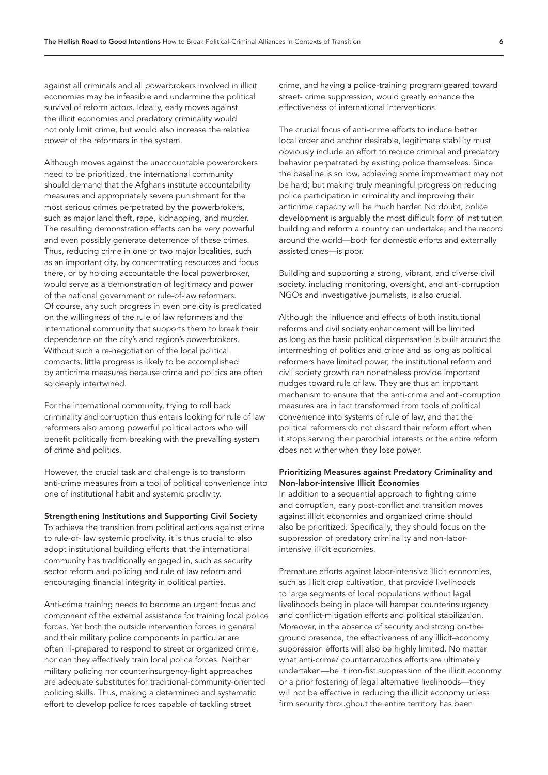against all criminals and all powerbrokers involved in illicit economies may be infeasible and undermine the political survival of reform actors. Ideally, early moves against the illicit economies and predatory criminality would not only limit crime, but would also increase the relative power of the reformers in the system.

Although moves against the unaccountable powerbrokers need to be prioritized, the international community should demand that the Afghans institute accountability measures and appropriately severe punishment for the most serious crimes perpetrated by the powerbrokers, such as major land theft, rape, kidnapping, and murder. The resulting demonstration effects can be very powerful and even possibly generate deterrence of these crimes. Thus, reducing crime in one or two major localities, such as an important city, by concentrating resources and focus there, or by holding accountable the local powerbroker, would serve as a demonstration of legitimacy and power of the national government or rule-of-law reformers. Of course, any such progress in even one city is predicated on the willingness of the rule of law reformers and the international community that supports them to break their dependence on the city's and region's powerbrokers. Without such a re-negotiation of the local political compacts, little progress is likely to be accomplished by anticrime measures because crime and politics are often so deeply intertwined.

For the international community, trying to roll back criminality and corruption thus entails looking for rule of law reformers also among powerful political actors who will benefit politically from breaking with the prevailing system of crime and politics.

However, the crucial task and challenge is to transform anti-crime measures from a tool of political convenience into one of institutional habit and systemic proclivity.

#### Strengthening Institutions and Supporting Civil Society

To achieve the transition from political actions against crime to rule-of- law systemic proclivity, it is thus crucial to also adopt institutional building efforts that the international community has traditionally engaged in, such as security sector reform and policing and rule of law reform and encouraging financial integrity in political parties.

Anti-crime training needs to become an urgent focus and component of the external assistance for training local police forces. Yet both the outside intervention forces in general and their military police components in particular are often ill-prepared to respond to street or organized crime, nor can they effectively train local police forces. Neither military policing nor counterinsurgency-light approaches are adequate substitutes for traditional-community-oriented policing skills. Thus, making a determined and systematic effort to develop police forces capable of tackling street

crime, and having a police-training program geared toward street- crime suppression, would greatly enhance the effectiveness of international interventions.

The crucial focus of anti-crime efforts to induce better local order and anchor desirable, legitimate stability must obviously include an effort to reduce criminal and predatory behavior perpetrated by existing police themselves. Since the baseline is so low, achieving some improvement may not be hard; but making truly meaningful progress on reducing police participation in criminality and improving their anticrime capacity will be much harder. No doubt, police development is arguably the most difficult form of institution building and reform a country can undertake, and the record around the world—both for domestic efforts and externally assisted ones—is poor.

Building and supporting a strong, vibrant, and diverse civil society, including monitoring, oversight, and anti-corruption NGOs and investigative journalists, is also crucial.

Although the influence and effects of both institutional reforms and civil society enhancement will be limited as long as the basic political dispensation is built around the intermeshing of politics and crime and as long as political reformers have limited power, the institutional reform and civil society growth can nonetheless provide important nudges toward rule of law. They are thus an important mechanism to ensure that the anti-crime and anti-corruption measures are in fact transformed from tools of political convenience into systems of rule of law, and that the political reformers do not discard their reform effort when it stops serving their parochial interests or the entire reform does not wither when they lose power.

# Prioritizing Measures against Predatory Criminality and Non-labor-intensive Illicit Economies

In addition to a sequential approach to fighting crime and corruption, early post-conflict and transition moves against illicit economies and organized crime should also be prioritized. Specifically, they should focus on the suppression of predatory criminality and non-laborintensive illicit economies.

Premature efforts against labor-intensive illicit economies, such as illicit crop cultivation, that provide livelihoods to large segments of local populations without legal livelihoods being in place will hamper counterinsurgency and conflict-mitigation efforts and political stabilization. Moreover, in the absence of security and strong on-theground presence, the effectiveness of any illicit-economy suppression efforts will also be highly limited. No matter what anti-crime/ counternarcotics efforts are ultimately undertaken—be it iron-fist suppression of the illicit economy or a prior fostering of legal alternative livelihoods—they will not be effective in reducing the illicit economy unless firm security throughout the entire territory has been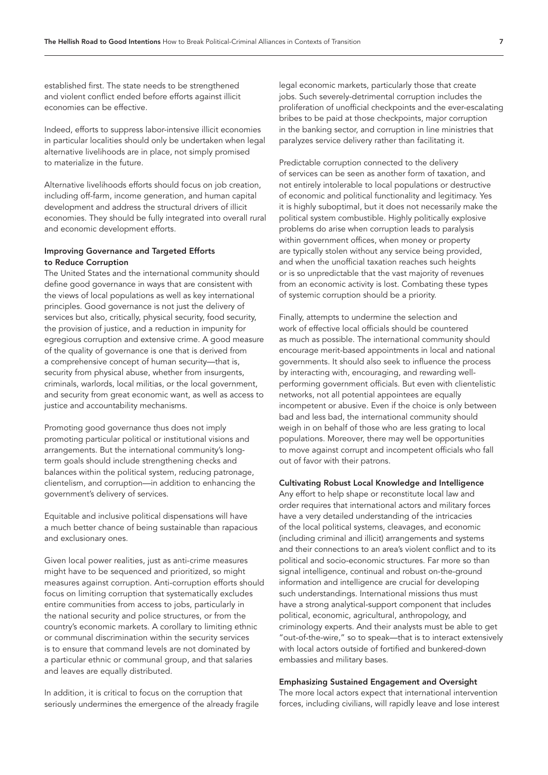established first. The state needs to be strengthened and violent conflict ended before efforts against illicit economies can be effective.

Indeed, efforts to suppress labor-intensive illicit economies in particular localities should only be undertaken when legal alternative livelihoods are in place, not simply promised to materialize in the future.

Alternative livelihoods efforts should focus on job creation, including off-farm, income generation, and human capital development and address the structural drivers of illicit economies. They should be fully integrated into overall rural and economic development efforts.

# Improving Governance and Targeted Efforts to Reduce Corruption

The United States and the international community should define good governance in ways that are consistent with the views of local populations as well as key international principles. Good governance is not just the delivery of services but also, critically, physical security, food security, the provision of justice, and a reduction in impunity for egregious corruption and extensive crime. A good measure of the quality of governance is one that is derived from a comprehensive concept of human security—that is, security from physical abuse, whether from insurgents, criminals, warlords, local militias, or the local government, and security from great economic want, as well as access to justice and accountability mechanisms.

Promoting good governance thus does not imply promoting particular political or institutional visions and arrangements. But the international community's longterm goals should include strengthening checks and balances within the political system, reducing patronage, clientelism, and corruption—in addition to enhancing the government's delivery of services.

Equitable and inclusive political dispensations will have a much better chance of being sustainable than rapacious and exclusionary ones.

Given local power realities, just as anti-crime measures might have to be sequenced and prioritized, so might measures against corruption. Anti-corruption efforts should focus on limiting corruption that systematically excludes entire communities from access to jobs, particularly in the national security and police structures, or from the country's economic markets. A corollary to limiting ethnic or communal discrimination within the security services is to ensure that command levels are not dominated by a particular ethnic or communal group, and that salaries and leaves are equally distributed.

In addition, it is critical to focus on the corruption that seriously undermines the emergence of the already fragile

legal economic markets, particularly those that create jobs. Such severely-detrimental corruption includes the proliferation of unofficial checkpoints and the ever-escalating bribes to be paid at those checkpoints, major corruption in the banking sector, and corruption in line ministries that paralyzes service delivery rather than facilitating it.

Predictable corruption connected to the delivery of services can be seen as another form of taxation, and not entirely intolerable to local populations or destructive of economic and political functionality and legitimacy. Yes it is highly suboptimal, but it does not necessarily make the political system combustible. Highly politically explosive problems do arise when corruption leads to paralysis within government offices, when money or property are typically stolen without any service being provided, and when the unofficial taxation reaches such heights or is so unpredictable that the vast majority of revenues from an economic activity is lost. Combating these types of systemic corruption should be a priority.

Finally, attempts to undermine the selection and work of effective local officials should be countered as much as possible. The international community should encourage merit-based appointments in local and national governments. It should also seek to influence the process by interacting with, encouraging, and rewarding wellperforming government officials. But even with clientelistic networks, not all potential appointees are equally incompetent or abusive. Even if the choice is only between bad and less bad, the international community should weigh in on behalf of those who are less grating to local populations. Moreover, there may well be opportunities to move against corrupt and incompetent officials who fall out of favor with their patrons.

#### Cultivating Robust Local Knowledge and Intelligence

Any effort to help shape or reconstitute local law and order requires that international actors and military forces have a very detailed understanding of the intricacies of the local political systems, cleavages, and economic (including criminal and illicit) arrangements and systems and their connections to an area's violent conflict and to its political and socio-economic structures. Far more so than signal intelligence, continual and robust on-the-ground information and intelligence are crucial for developing such understandings. International missions thus must have a strong analytical-support component that includes political, economic, agricultural, anthropology, and criminology experts. And their analysts must be able to get "out-of-the-wire," so to speak—that is to interact extensively with local actors outside of fortified and bunkered-down embassies and military bases.

#### Emphasizing Sustained Engagement and Oversight

The more local actors expect that international intervention forces, including civilians, will rapidly leave and lose interest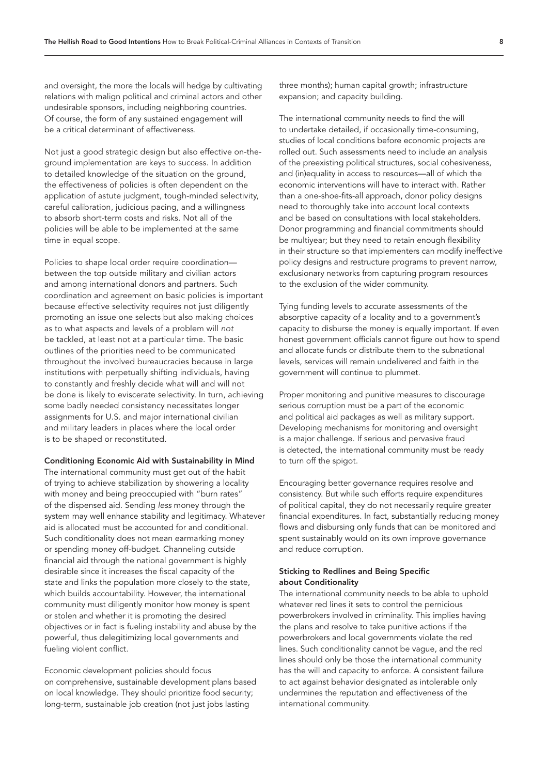and oversight, the more the locals will hedge by cultivating relations with malign political and criminal actors and other undesirable sponsors, including neighboring countries. Of course, the form of any sustained engagement will be a critical determinant of effectiveness.

Not just a good strategic design but also effective on-theground implementation are keys to success. In addition to detailed knowledge of the situation on the ground, the effectiveness of policies is often dependent on the application of astute judgment, tough-minded selectivity, careful calibration, judicious pacing, and a willingness to absorb short-term costs and risks. Not all of the policies will be able to be implemented at the same time in equal scope.

Policies to shape local order require coordination between the top outside military and civilian actors and among international donors and partners. Such coordination and agreement on basic policies is important because effective selectivity requires not just diligently promoting an issue one selects but also making choices as to what aspects and levels of a problem will *not* be tackled, at least not at a particular time. The basic outlines of the priorities need to be communicated throughout the involved bureaucracies because in large institutions with perpetually shifting individuals, having to constantly and freshly decide what will and will not be done is likely to eviscerate selectivity. In turn, achieving some badly needed consistency necessitates longer assignments for U.S. and major international civilian and military leaders in places where the local order is to be shaped or reconstituted.

### Conditioning Economic Aid with Sustainability in Mind

The international community must get out of the habit of trying to achieve stabilization by showering a locality with money and being preoccupied with "burn rates" of the dispensed aid. Sending *less* money through the system may well enhance stability and legitimacy. Whatever aid is allocated must be accounted for and conditional. Such conditionality does not mean earmarking money or spending money off-budget. Channeling outside financial aid through the national government is highly desirable since it increases the fiscal capacity of the state and links the population more closely to the state, which builds accountability. However, the international community must diligently monitor how money is spent or stolen and whether it is promoting the desired objectives or in fact is fueling instability and abuse by the powerful, thus delegitimizing local governments and fueling violent conflict.

Economic development policies should focus on comprehensive, sustainable development plans based on local knowledge. They should prioritize food security; long-term, sustainable job creation (not just jobs lasting

three months); human capital growth; infrastructure expansion; and capacity building.

The international community needs to find the will to undertake detailed, if occasionally time-consuming, studies of local conditions before economic projects are rolled out. Such assessments need to include an analysis of the preexisting political structures, social cohesiveness, and (in)equality in access to resources—all of which the economic interventions will have to interact with. Rather than a one-shoe-fits-all approach, donor policy designs need to thoroughly take into account local contexts and be based on consultations with local stakeholders. Donor programming and financial commitments should be multiyear; but they need to retain enough flexibility in their structure so that implementers can modify ineffective policy designs and restructure programs to prevent narrow, exclusionary networks from capturing program resources to the exclusion of the wider community.

Tying funding levels to accurate assessments of the absorptive capacity of a locality and to a government's capacity to disburse the money is equally important. If even honest government officials cannot figure out how to spend and allocate funds or distribute them to the subnational levels, services will remain undelivered and faith in the government will continue to plummet.

Proper monitoring and punitive measures to discourage serious corruption must be a part of the economic and political aid packages as well as military support. Developing mechanisms for monitoring and oversight is a major challenge. If serious and pervasive fraud is detected, the international community must be ready to turn off the spigot.

Encouraging better governance requires resolve and consistency. But while such efforts require expenditures of political capital, they do not necessarily require greater financial expenditures. In fact, substantially reducing money flows and disbursing only funds that can be monitored and spent sustainably would on its own improve governance and reduce corruption.

# Sticking to Redlines and Being Specific about Conditionality

The international community needs to be able to uphold whatever red lines it sets to control the pernicious powerbrokers involved in criminality. This implies having the plans and resolve to take punitive actions if the powerbrokers and local governments violate the red lines. Such conditionality cannot be vague, and the red lines should only be those the international community has the will and capacity to enforce. A consistent failure to act against behavior designated as intolerable only undermines the reputation and effectiveness of the international community.